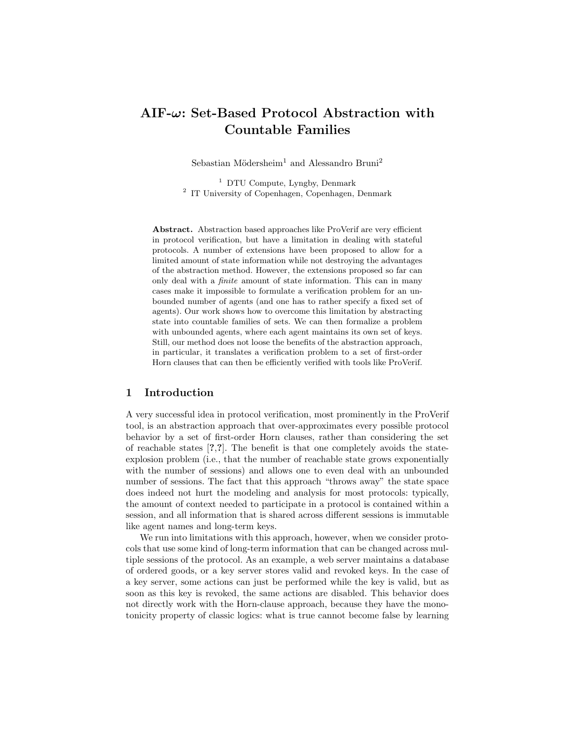# AIF-ω: Set-Based Protocol Abstraction with Countable Families

Sebastian Mödersheim<sup>1</sup> and Alessandro Bruni<sup>2</sup>

<sup>1</sup> DTU Compute, Lyngby, Denmark <sup>2</sup> IT University of Copenhagen, Copenhagen, Denmark

Abstract. Abstraction based approaches like ProVerif are very efficient in protocol verification, but have a limitation in dealing with stateful protocols. A number of extensions have been proposed to allow for a limited amount of state information while not destroying the advantages of the abstraction method. However, the extensions proposed so far can only deal with a finite amount of state information. This can in many cases make it impossible to formulate a verification problem for an unbounded number of agents (and one has to rather specify a fixed set of agents). Our work shows how to overcome this limitation by abstracting state into countable families of sets. We can then formalize a problem with unbounded agents, where each agent maintains its own set of keys. Still, our method does not loose the benefits of the abstraction approach, in particular, it translates a verification problem to a set of first-order Horn clauses that can then be efficiently verified with tools like ProVerif.

## 1 Introduction

A very successful idea in protocol verification, most prominently in the ProVerif tool, is an abstraction approach that over-approximates every possible protocol behavior by a set of first-order Horn clauses, rather than considering the set of reachable states [?,?]. The benefit is that one completely avoids the stateexplosion problem (i.e., that the number of reachable state grows exponentially with the number of sessions) and allows one to even deal with an unbounded number of sessions. The fact that this approach "throws away" the state space does indeed not hurt the modeling and analysis for most protocols: typically, the amount of context needed to participate in a protocol is contained within a session, and all information that is shared across different sessions is immutable like agent names and long-term keys.

We run into limitations with this approach, however, when we consider protocols that use some kind of long-term information that can be changed across multiple sessions of the protocol. As an example, a web server maintains a database of ordered goods, or a key server stores valid and revoked keys. In the case of a key server, some actions can just be performed while the key is valid, but as soon as this key is revoked, the same actions are disabled. This behavior does not directly work with the Horn-clause approach, because they have the monotonicity property of classic logics: what is true cannot become false by learning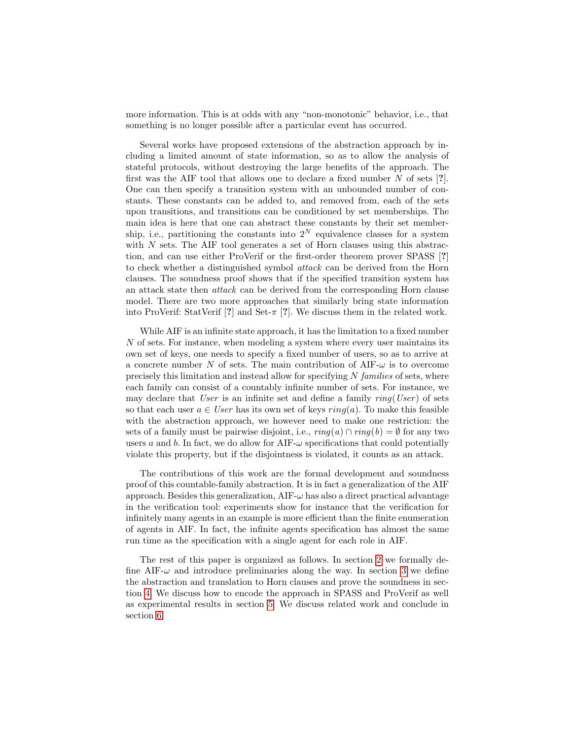more information. This is at odds with any "non-monotonic" behavior, i.e., that something is no longer possible after a particular event has occurred.

Several works have proposed extensions of the abstraction approach by including a limited amount of state information, so as to allow the analysis of stateful protocols, without destroying the large benefits of the approach. The first was the AIF tool that allows one to declare a fixed number  $N$  of sets [?]. One can then specify a transition system with an unbounded number of constants. These constants can be added to, and removed from, each of the sets upon transitions, and transitions can be conditioned by set memberships. The main idea is here that one can abstract these constants by their set membership, i.e., partitioning the constants into  $2^N$  equivalence classes for a system with  $N$  sets. The AIF tool generates a set of Horn clauses using this abstraction, and can use either ProVerif or the first-order theorem prover SPASS [?] to check whether a distinguished symbol attack can be derived from the Horn clauses. The soundness proof shows that if the specified transition system has an attack state then attack can be derived from the corresponding Horn clause model. There are two more approaches that similarly bring state information into ProVerif: StatVerif [?] and Set- $\pi$  [?]. We discuss them in the related work.

While AIF is an infinite state approach, it has the limitation to a fixed number N of sets. For instance, when modeling a system where every user maintains its own set of keys, one needs to specify a fixed number of users, so as to arrive at a concrete number N of sets. The main contribution of AIF- $\omega$  is to overcome precisely this limitation and instead allow for specifying  $N$  families of sets, where each family can consist of a countably infinite number of sets. For instance, we may declare that User is an infinite set and define a family  $ring(User)$  of sets so that each user  $a \in User$  has its own set of keys  $ring(a)$ . To make this feasible with the abstraction approach, we however need to make one restriction: the sets of a family must be pairwise disjoint, i.e.,  $ring(a) \cap ring(b) = \emptyset$  for any two users a and b. In fact, we do allow for AIF- $\omega$  specifications that could potentially violate this property, but if the disjointness is violated, it counts as an attack.

The contributions of this work are the formal development and soundness proof of this countable-family abstraction. It is in fact a generalization of the AIF approach. Besides this generalization,  $\text{AIF-}\omega$  has also a direct practical advantage in the verification tool: experiments show for instance that the verification for infinitely many agents in an example is more efficient than the finite enumeration of agents in AIF. In fact, the infinite agents specification has almost the same run time as the specification with a single agent for each role in AIF.

The rest of this paper is organized as follows. In section [2](#page-2-0) we formally define AIF- $\omega$  and introduce preliminaries along the way. In section [3](#page-10-0) we define the abstraction and translation to Horn clauses and prove the soundness in section [4.](#page-13-0) We discuss how to encode the approach in SPASS and ProVerif as well as experimental results in section [5.](#page-17-0) We discuss related work and conclude in section [6.](#page-18-0)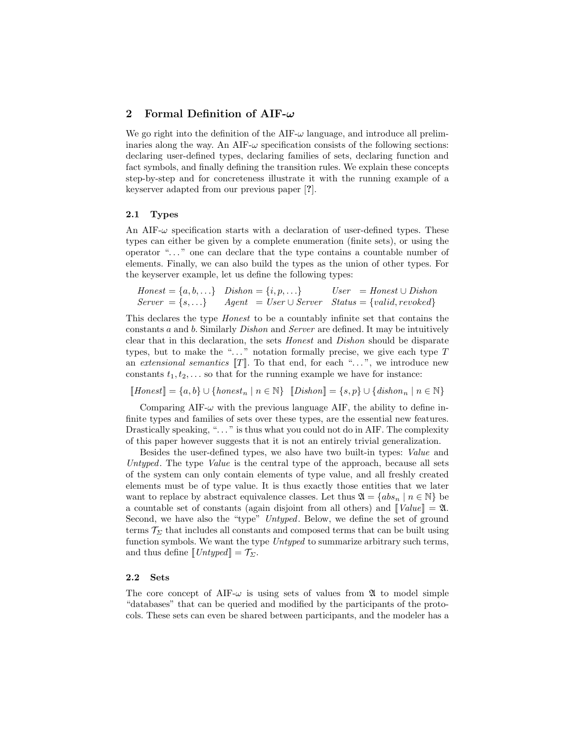# <span id="page-2-0"></span>2 Formal Definition of AIF- $\omega$

We go right into the definition of the AIF- $\omega$  language, and introduce all preliminaries along the way. An  $\text{AIF-}\omega$  specification consists of the following sections: declaring user-defined types, declaring families of sets, declaring function and fact symbols, and finally defining the transition rules. We explain these concepts step-by-step and for concreteness illustrate it with the running example of a keyserver adapted from our previous paper [?].

## 2.1 Types

An AIF- $\omega$  specification starts with a declaration of user-defined types. These types can either be given by a complete enumeration (finite sets), or using the operator ". . . " one can declare that the type contains a countable number of elements. Finally, we can also build the types as the union of other types. For the keyserver example, let us define the following types:

| $Honest = \{a, b, \ldots\}$ $Dishon = \{i, p, \ldots\}$ | $User = Honest \cup Dishon$                                             |
|---------------------------------------------------------|-------------------------------------------------------------------------|
|                                                         | $Server = \{s, \}$ Agent = User $\cup Server$ Status = {valid, revoked} |

This declares the type Honest to be a countably infinite set that contains the constants a and b. Similarly Dishon and Server are defined. It may be intuitively clear that in this declaration, the sets Honest and Dishon should be disparate types, but to make the " $\dots$ " notation formally precise, we give each type T an extensional semantics  $\llbracket T \rrbracket$ . To that end, for each "...", we introduce new constants  $t_1, t_2, \ldots$  so that for the running example we have for instance:

 $[Homest] = \{a, b\} \cup \{honest_n \mid n \in \mathbb{N}\}$   $[Dishon] = \{s, p\} \cup \{dishon_n \mid n \in \mathbb{N}\}\$ 

Comparing  $\text{AIF-}\omega$  with the previous language  $\text{AIF}$ , the ability to define infinite types and families of sets over these types, are the essential new features. Drastically speaking, "..." is thus what you could not do in AIF. The complexity of this paper however suggests that it is not an entirely trivial generalization.

Besides the user-defined types, we also have two built-in types: Value and Untyped. The type *Value* is the central type of the approach, because all sets of the system can only contain elements of type value, and all freshly created elements must be of type value. It is thus exactly those entities that we later want to replace by abstract equivalence classes. Let thus  $\mathfrak{A} = \{abs_n \mid n \in \mathbb{N}\}\$  be a countable set of constants (again disjoint from all others) and  $[[Value]] = \mathfrak{A}$ . Second, we have also the "type" Untyped. Below, we define the set of ground terms  $\mathcal{T}_{\Sigma}$  that includes all constants and composed terms that can be built using function symbols. We want the type Untyped to summarize arbitrary such terms, and thus define  $[Untyped] = \mathcal{T}_{\Sigma}$ .

## 2.2 Sets

The core concept of  $\text{AIF-}\omega$  is using sets of values from  $\mathfrak A$  to model simple "databases" that can be queried and modified by the participants of the protocols. These sets can even be shared between participants, and the modeler has a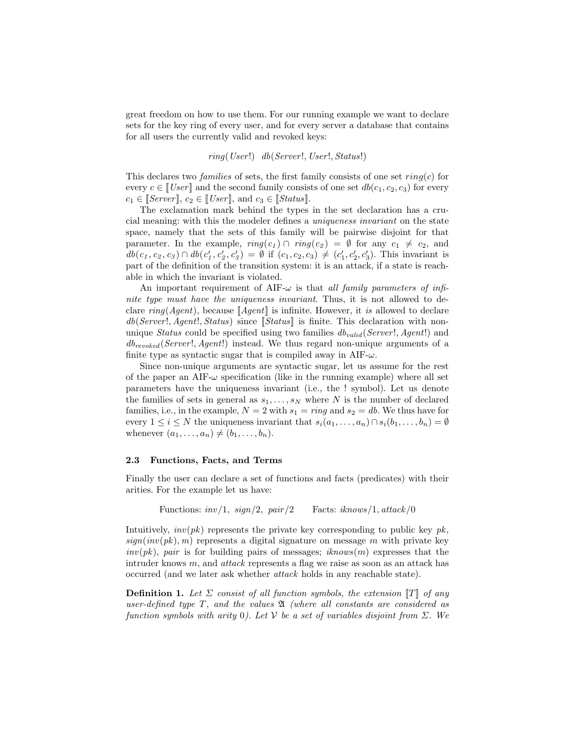great freedom on how to use them. For our running example we want to declare sets for the key ring of every user, and for every server a database that contains for all users the currently valid and revoked keys:

## $ring(User!)$  db(Server!, User!, Status!)

This declares two *families* of sets, the first family consists of one set  $ring(c)$  for every  $c \in \llbracket \text{User} \rrbracket$  and the second family consists of one set  $db(c_1, c_2, c_3)$  for every  $c_1 \in \llbracket \text{Server} \rrbracket, c_2 \in \llbracket \text{User} \rrbracket, \text{ and } c_3 \in \llbracket \text{Status} \rrbracket.$ 

The exclamation mark behind the types in the set declaration has a crucial meaning: with this the modeler defines a uniqueness invariant on the state space, namely that the sets of this family will be pairwise disjoint for that parameter. In the example,  $ring(c_1) \cap ring(c_2) = \emptyset$  for any  $c_1 \neq c_2$ , and  $db(c_1, c_2, c_3) \cap db(c'_1, c'_2, c'_3) = \emptyset$  if  $(c_1, c_2, c_3) \neq (c'_1, c'_2, c'_3)$ . This invariant is part of the definition of the transition system: it is an attack, if a state is reachable in which the invariant is violated.

An important requirement of AIF- $\omega$  is that all family parameters of infinite type must have the uniqueness invariant. Thus, it is not allowed to declare  $ring(Agent)$ , because  $[Agent]$  is infinite. However, it is allowed to declare  $db(Server!, Agent!, Status)$  since [Status] is finite. This declaration with nonunique *Status* could be specified using two families  $db_{valid}(Server!, Agent!)$  and  $db_{revoked}(Server!, Agent!)$  instead. We thus regard non-unique arguments of a finite type as syntactic sugar that is compiled away in AIF- $\omega$ .

Since non-unique arguments are syntactic sugar, let us assume for the rest of the paper an  $\text{AIF}-\omega$  specification (like in the running example) where all set parameters have the uniqueness invariant (i.e., the ! symbol). Let us denote the families of sets in general as  $s_1, \ldots, s_N$  where N is the number of declared families, i.e., in the example,  $N = 2$  with  $s_1 = ring$  and  $s_2 = db$ . We thus have for every  $1 \leq i \leq N$  the uniqueness invariant that  $s_i(a_1, \ldots, a_n) \cap s_i(b_1, \ldots, b_n) = \emptyset$ whenever  $(a_1, \ldots, a_n) \neq (b_1, \ldots, b_n)$ .

#### 2.3 Functions, Facts, and Terms

Finally the user can declare a set of functions and facts (predicates) with their arities. For the example let us have:

Functions:  $inv/1$ ,  $sign/2$ ,  $pair/2$  Facts:  $iknows/1, attack/0$ 

Intuitively,  $inv(pk)$  represents the private key corresponding to public key  $pk$ ,  $sign(nv(pk), m)$  represents a digital signature on message m with private key  $inv(pk)$ , pair is for building pairs of messages; iknows $(m)$  expresses that the intruder knows m, and *attack* represents a flag we raise as soon as an attack has occurred (and we later ask whether attack holds in any reachable state).

**Definition 1.** Let  $\Sigma$  consist of all function symbols, the extension  $\llbracket T \rrbracket$  of any user-defined type  $T$ , and the values  $\mathfrak A$  (where all constants are considered as function symbols with arity 0). Let V be a set of variables disjoint from  $\Sigma$ . We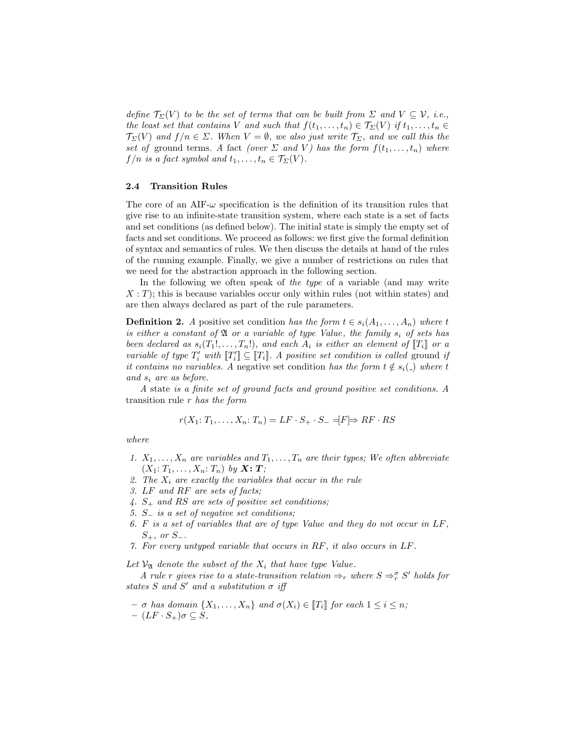define  $\mathcal{T}_{\Sigma}(V)$  to be the set of terms that can be built from  $\Sigma$  and  $V \subseteq V$ , i.e., the least set that contains V and such that  $f(t_1, \ldots, t_n) \in \mathcal{T}_{\Sigma}(V)$  if  $t_1, \ldots, t_n \in$  $\mathcal{T}_{\Sigma}(V)$  and  $f/n \in \Sigma$ . When  $V = \emptyset$ , we also just write  $\mathcal{T}_{\Sigma}$ , and we call this the set of ground terms. A fact (over  $\Sigma$  and V) has the form  $f(t_1, \ldots, t_n)$  where  $f/n$  is a fact symbol and  $t_1, \ldots, t_n \in \mathcal{T}_{\Sigma}(V)$ .

#### 2.4 Transition Rules

The core of an AIF- $\omega$  specification is the definition of its transition rules that give rise to an infinite-state transition system, where each state is a set of facts and set conditions (as defined below). The initial state is simply the empty set of facts and set conditions. We proceed as follows: we first give the formal definition of syntax and semantics of rules. We then discuss the details at hand of the rules of the running example. Finally, we give a number of restrictions on rules that we need for the abstraction approach in the following section.

In the following we often speak of the type of a variable (and may write  $X: T$ ; this is because variables occur only within rules (not within states) and are then always declared as part of the rule parameters.

**Definition 2.** A positive set condition has the form  $t \in s_i(A_1, \ldots, A_n)$  where t is either a constant of  $\mathfrak A$  or a variable of type Value, the family  $s_i$  of sets has been declared as  $s_i(T_1!, \ldots, T_n!)$ , and each  $A_i$  is either an element of  $[[T_i]]$  or a variable of type  $T_i'$  with  $[T_i'] \subseteq [T_i]$ . A positive set condition is called ground if it contains no variables. A negative set condition has the form  $t \notin s_i(.)$  where t and  $s_i$  are as before.

A state is a finite set of ground facts and ground positive set conditions. A transition rule  $r$  has the form

<span id="page-4-0"></span>
$$
r(X_1; T_1, \dots, X_n; T_n) = LF \cdot S_+ \cdot S_- = [F] \Rightarrow RF \cdot RS
$$

where

- 1.  $X_1, \ldots, X_n$  are variables and  $T_1, \ldots, T_n$  are their types; We often abbreviate  $(X_1: T_1, \ldots, X_n: T_n)$  by  $\mathbf{X: T}$ ;
- 2. The  $X_i$  are exactly the variables that occur in the rule
- 3. LF and RF are sets of facts;
- 4.  $S_+$  and RS are sets of positive set conditions;
- 5. S<sup>−</sup> is a set of negative set conditions;
- 6. F is a set of variables that are of type Value and they do not occur in LF,  $S_+$ , or  $S_-$ .
- 7. For every untyped variable that occurs in RF, it also occurs in LF.

Let  $\mathcal{V}_{\mathfrak{A}}$  denote the subset of the  $X_i$  that have type Value.

A rule r gives rise to a state-transition relation  $\Rightarrow_r$  where  $S \Rightarrow^{\sigma}_r S'$  holds for states S and S' and a substitution  $\sigma$  iff

 $- \sigma$  has domain  $\{X_1, \ldots, X_n\}$  and  $\sigma(X_i) \in \llbracket T_i \rrbracket$  for each  $1 \leq i \leq n$ ;  $- (LF \cdot S_+) \sigma \subseteq S$ ,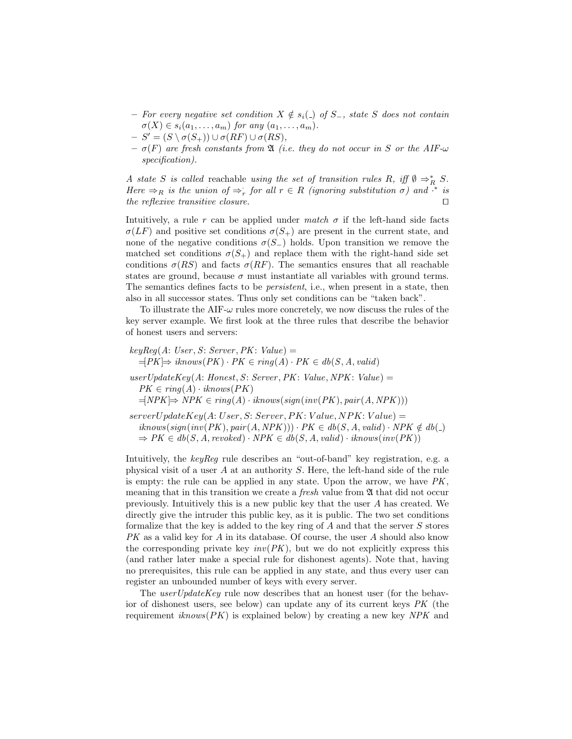- For every negative set condition  $X \notin s_i($  of  $S_-,$  state S does not contain  $\sigma(X) \in s_i(a_1, \ldots, a_m)$  for any  $(a_1, \ldots, a_m)$ .
- $-S' = (S \setminus \sigma(S_+)) \cup \sigma(RF) \cup \sigma(RS),$
- $\sigma(F)$  are fresh constants from  $\mathfrak A$  (i.e. they do not occur in S or the AIF- $\omega$ ) specification).

A state S is called reachable using the set of transition rules R, iff  $\emptyset \Rightarrow_R^* S$ . Here  $\Rightarrow_R$  is the union of  $\Rightarrow_r$  for all  $r \in R$  (ignoring substitution  $\sigma$ ) and  $\cdot^*$  is the reflexive transitive closure.  $\Box$ 

Intuitively, a rule r can be applied under match  $\sigma$  if the left-hand side facts  $\sigma(LF)$  and positive set conditions  $\sigma(S_+)$  are present in the current state, and none of the negative conditions  $\sigma(S_+)$  holds. Upon transition we remove the matched set conditions  $\sigma(S_+)$  and replace them with the right-hand side set conditions  $\sigma(RS)$  and facts  $\sigma(RF)$ . The semantics ensures that all reachable states are ground, because  $\sigma$  must instantiate all variables with ground terms. The semantics defines facts to be persistent, i.e., when present in a state, then also in all successor states. Thus only set conditions can be "taken back".

To illustrate the AIF- $\omega$  rules more concretely, we now discuss the rules of the key server example. We first look at the three rules that describe the behavior of honest users and servers:

 $keyReq(A: User, S: Server, PK: Value) =$  $=$ [PK] $\Rightarrow$  iknows(PK) · PK  $\in$  ring(A) · PK  $\in$  db(S, A, valid)  $userUpdateKey(A: Honest, S: Server, PK: Value, NPK: Value) =$  $PK \in ring(A) \cdot iknows(PK)$  $\exists NPK \Rightarrow NPK \in ring(A) \cdot iknows(sign(inv(PK), pair(A, NPK)))$  $serverUpdateKey(A: User, S: Server, PK: Value, NPK: Value) =$  $iknows(sign(inv(PK), pair(A, NPK))) \cdot PK \in db(S, A, valid) \cdot NPK \notin db(.)$  $\Rightarrow PK \in db(S, A, revoked) \cdot NPK \in db(S, A, valid) \cdot iknows(inv(PK))$ 

Intuitively, the keyReg rule describes an "out-of-band" key registration, e.g. a physical visit of a user A at an authority S. Here, the left-hand side of the rule is empty: the rule can be applied in any state. Upon the arrow, we have  $PK$ , meaning that in this transition we create a *fresh* value from  $\mathfrak{A}$  that did not occur previously. Intuitively this is a new public key that the user A has created. We directly give the intruder this public key, as it is public. The two set conditions formalize that the key is added to the key ring of  $A$  and that the server  $S$  stores PK as a valid key for A in its database. Of course, the user A should also know the corresponding private key  $inv(PK)$ , but we do not explicitly express this (and rather later make a special rule for dishonest agents). Note that, having no prerequisites, this rule can be applied in any state, and thus every user can register an unbounded number of keys with every server.

The *userUpdateKey* rule now describes that an honest user (for the behavior of dishonest users, see below) can update any of its current keys PK (the requirement  $\text{iknows}(PK)$  is explained below) by creating a new key NPK and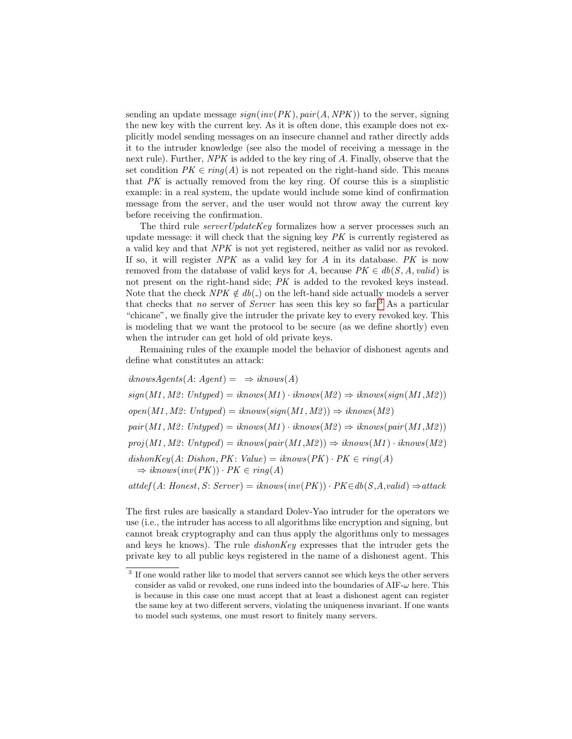sending an update message  $sign(inv(PK), pair(A, NPK))$  to the server, signing the new key with the current key. As it is often done, this example does not explicitly model sending messages on an insecure channel and rather directly adds it to the intruder knowledge (see also the model of receiving a message in the next rule). Further, NPK is added to the key ring of A. Finally, observe that the set condition  $PK \in ring(A)$  is not repeated on the right-hand side. This means that PK is actually removed from the key ring. Of course this is a simplistic example: in a real system, the update would include some kind of confirmation message from the server, and the user would not throw away the current key before receiving the confirmation.

The third rule *server* Update Key formalizes how a server processes such an update message: it will check that the signing key  $PK$  is currently registered as a valid key and that NPK is not yet registered, neither as valid nor as revoked. If so, it will register  $NPK$  as a valid key for A in its database.  $PK$  is now removed from the database of valid keys for A, because  $PK \in db(S, A, valid)$  is not present on the right-hand side; PK is added to the revoked keys instead. Note that the check  $NPK \notin db( )$  on the left-hand side actually models a server that checks that no server of *Server* has seen this key so far.<sup>[3](#page-6-0)</sup> As a particular "chicane", we finally give the intruder the private key to every revoked key. This is modeling that we want the protocol to be secure (as we define shortly) even when the intruder can get hold of old private keys.

Remaining rules of the example model the behavior of dishonest agents and define what constitutes an attack:

 $iknowAqents(A: Aqent) = \Rightarrow iknows(A)$  $sign(M1, M2: Untyped) = iknows(M1) \cdot iknows(M2) \Rightarrow iknows(sign(M1, M2))$  $open(M1, M2: Untyped) = iknows(sign(M1, M2)) \Rightarrow iknows(M2)$  $pair(M1, M2: Untyped) = iknows(M1) \cdot iknows(M2) \Rightarrow iknows(pair(M1, M2))$  $proj(M1, M2$ : Untyped) = iknows(pair(M1,M2))  $\Rightarrow$  iknows(M1) · iknows(M2)  $dishonKey(A: Dishon, PK: Value) = iknows(PK) \cdot PK \in ring(A)$  $\Rightarrow$  iknows(inv(PK))  $\cdot$  PK  $\in$  ring(A)

 $atdef(A: Honest, S: Server) = iknows(inv(PK)) \cdot PK \in db(S, A, valid) \Rightarrow attack$ 

The first rules are basically a standard Dolev-Yao intruder for the operators we use (i.e., the intruder has access to all algorithms like encryption and signing, but cannot break cryptography and can thus apply the algorithms only to messages and keys he knows). The rule  $dishonKey$  expresses that the intruder gets the private key to all public keys registered in the name of a dishonest agent. This

<span id="page-6-0"></span><sup>&</sup>lt;sup>3</sup> If one would rather like to model that servers cannot see which keys the other servers consider as valid or revoked, one runs indeed into the boundaries of  $\text{AIF-}\omega$  here. This is because in this case one must accept that at least a dishonest agent can register the same key at two different servers, violating the uniqueness invariant. If one wants to model such systems, one must resort to finitely many servers.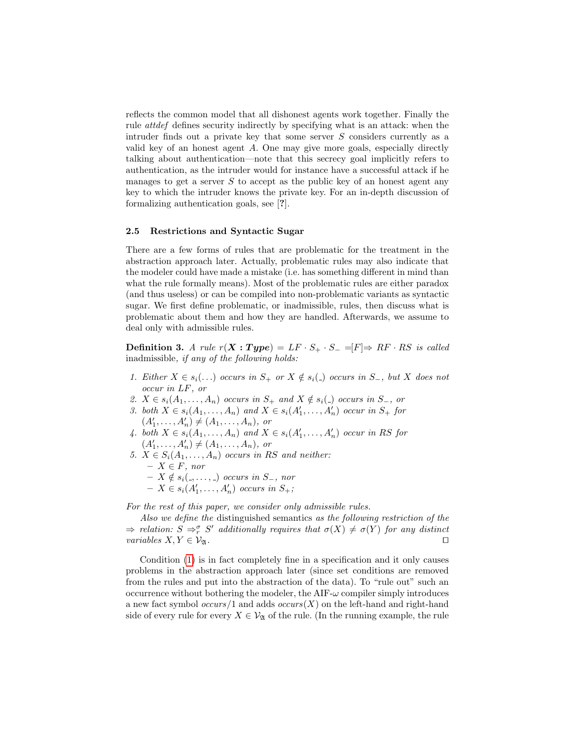reflects the common model that all dishonest agents work together. Finally the rule attdef defines security indirectly by specifying what is an attack: when the intruder finds out a private key that some server S considers currently as a valid key of an honest agent A. One may give more goals, especially directly talking about authentication—note that this secrecy goal implicitly refers to authentication, as the intruder would for instance have a successful attack if he manages to get a server  $S$  to accept as the public key of an honest agent any key to which the intruder knows the private key. For an in-depth discussion of formalizing authentication goals, see [?].

#### 2.5 Restrictions and Syntactic Sugar

There are a few forms of rules that are problematic for the treatment in the abstraction approach later. Actually, problematic rules may also indicate that the modeler could have made a mistake (i.e. has something different in mind than what the rule formally means). Most of the problematic rules are either paradox (and thus useless) or can be compiled into non-problematic variants as syntactic sugar. We first define problematic, or inadmissible, rules, then discuss what is problematic about them and how they are handled. Afterwards, we assume to deal only with admissible rules.

<span id="page-7-5"></span>**Definition 3.** A rule  $r(X : Type) = LF \cdot S_+ \cdot S_- = [F] \Rightarrow RF \cdot RS$  is called inadmissible, if any of the following holds:

- <span id="page-7-0"></span>1. Either  $X \in s_i(...)$  occurs in  $S_+$  or  $X \notin s_i(.)$  occurs in  $S_-,$  but X does not occur in LF, or
- <span id="page-7-1"></span>2.  $X \in s_i(A_1, \ldots, A_n)$  occurs in  $S_+$  and  $X \notin s_i(.)$  occurs in  $S_-$ , or
- <span id="page-7-2"></span>3. both  $X \in s_i(A_1, \ldots, A_n)$  and  $X \in s_i(A'_1, \ldots, A'_n)$  occur in  $S_+$  for  $(A'_1, ..., A'_n) \neq (A_1, ..., A_n)$ , or
- <span id="page-7-3"></span>4. both  $X \in s_i(A_1, \ldots, A_n)$  and  $X \in s_i(A'_1, \ldots, A'_n)$  occur in RS for  $(A'_1, ..., A'_n) \neq (A_1, ..., A_n)$ , or
- <span id="page-7-4"></span>5.  $X \in S_i(A_1, \ldots, A_n)$  occurs in RS and neither:  $- X \in F$ , nor
	- $X \notin s_i( \ldots, )$  occurs in  $S_-,$  nor
	- $X \in s_i(A'_1, \ldots, A'_n)$  occurs in  $S_+$ ;

For the rest of this paper, we consider only admissible rules.

Also we define the distinguished semantics as the following restriction of the  $\Rightarrow$  relation:  $S \Rightarrow_{r}^{\sigma} S'$  additionally requires that  $\sigma(X) \neq \sigma(Y)$  for any distinct variables  $X, Y \in V_{\mathfrak{A}}$ .

Condition [\(1\)](#page-7-0) is in fact completely fine in a specification and it only causes problems in the abstraction approach later (since set conditions are removed from the rules and put into the abstraction of the data). To "rule out" such an occurrence without bothering the modeler, the AIF- $\omega$  compiler simply introduces a new fact symbol  $occurs/1$  and adds  $occurs(X)$  on the left-hand and right-hand side of every rule for every  $X \in V_{\mathfrak{A}}$  of the rule. (In the running example, the rule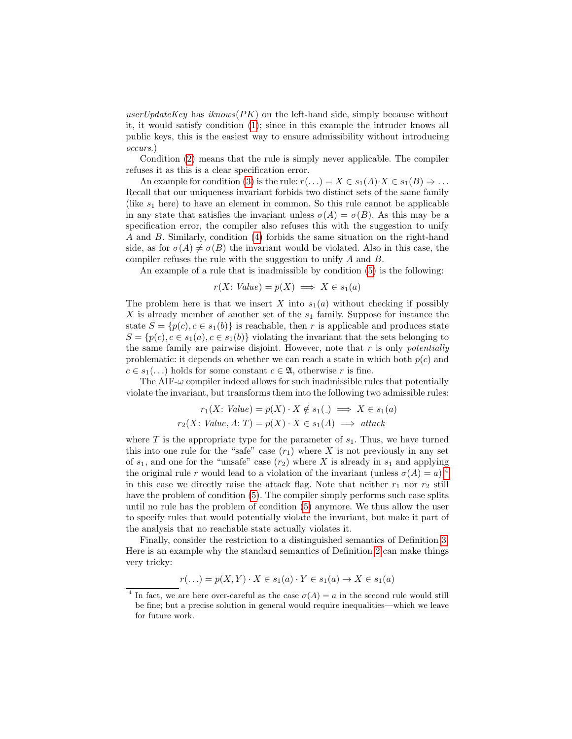userUpdateKey has  $\text{iknows}(PK)$  on the left-hand side, simply because without it, it would satisfy condition [\(1\)](#page-7-0); since in this example the intruder knows all public keys, this is the easiest way to ensure admissibility without introducing occurs.)

Condition [\(2\)](#page-7-1) means that the rule is simply never applicable. The compiler refuses it as this is a clear specification error.

An example for condition [\(3\)](#page-7-2) is the rule:  $r(\ldots) = X \in s_1(A) \cdot X \in s_1(B) \Rightarrow \ldots$ Recall that our uniqueness invariant forbids two distinct sets of the same family (like  $s_1$  here) to have an element in common. So this rule cannot be applicable in any state that satisfies the invariant unless  $\sigma(A) = \sigma(B)$ . As this may be a specification error, the compiler also refuses this with the suggestion to unify A and B. Similarly, condition [\(4\)](#page-7-3) forbids the same situation on the right-hand side, as for  $\sigma(A) \neq \sigma(B)$  the invariant would be violated. Also in this case, the compiler refuses the rule with the suggestion to unify A and B.

An example of a rule that is inadmissible by condition [\(5\)](#page-7-4) is the following:

$$
r(X: Value) = p(X) \implies X \in s_1(a)
$$

The problem here is that we insert X into  $s_1(a)$  without checking if possibly X is already member of another set of the  $s_1$  family. Suppose for instance the state  $S = \{p(c), c \in s_1(b)\}\$ is reachable, then r is applicable and produces state  $S = \{p(c), c \in s_1(a), c \in s_1(b)\}\$  violating the invariant that the sets belonging to the same family are pairwise disjoint. However, note that  $r$  is only *potentially* problematic: it depends on whether we can reach a state in which both  $p(c)$  and  $c \in s_1(\ldots)$  holds for some constant  $c \in \mathfrak{A}$ , otherwise r is fine.

The AIF- $\omega$  compiler indeed allows for such inadmissible rules that potentially violate the invariant, but transforms them into the following two admissible rules:

$$
r_1(X: Value) = p(X) \cdot X \notin s_1(.) \implies X \in s_1(a)
$$

$$
r_2(X: Value, A: T) = p(X) \cdot X \in s_1(A) \implies attack
$$

where  $T$  is the appropriate type for the parameter of  $s_1$ . Thus, we have turned this into one rule for the "safe" case  $(r_1)$  where X is not previously in any set of  $s_1$ , and one for the "unsafe" case  $(r_2)$  where X is already in  $s_1$  and applying the original rule r would lead to a violation of the invariant (unless  $\sigma(A) = a$ );<sup>[4](#page-8-0)</sup> in this case we directly raise the attack flag. Note that neither  $r_1$  nor  $r_2$  still have the problem of condition  $(5)$ . The compiler simply performs such case splits until no rule has the problem of condition [\(5\)](#page-7-4) anymore. We thus allow the user to specify rules that would potentially violate the invariant, but make it part of the analysis that no reachable state actually violates it.

Finally, consider the restriction to a distinguished semantics of Definition [3.](#page-7-5) Here is an example why the standard semantics of Definition [2](#page-4-0) can make things very tricky:

$$
r(\ldots) = p(X, Y) \cdot X \in s_1(a) \cdot Y \in s_1(a) \to X \in s_1(a)
$$

<span id="page-8-0"></span><sup>&</sup>lt;sup>4</sup> In fact, we are here over-careful as the case  $\sigma(A) = a$  in the second rule would still be fine; but a precise solution in general would require inequalities—which we leave for future work.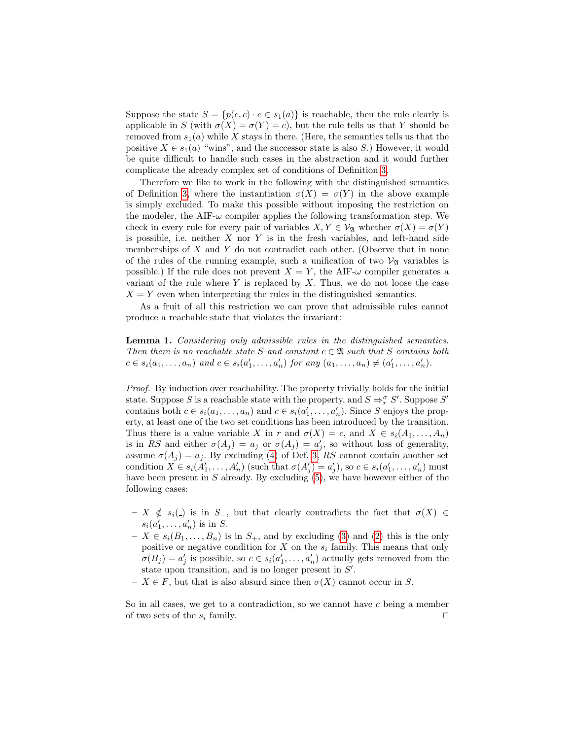Suppose the state  $S = \{p(c, c) \cdot c \in s_1(a)\}\$ is reachable, then the rule clearly is applicable in S (with  $\sigma(X) = \sigma(Y) = c$ ), but the rule tells us that Y should be removed from  $s_1(a)$  while X stays in there. (Here, the semantics tells us that the positive  $X \in s_1(a)$  "wins", and the successor state is also S.) However, it would be quite difficult to handle such cases in the abstraction and it would further complicate the already complex set of conditions of Definition [3.](#page-7-5)

Therefore we like to work in the following with the distinguished semantics of Definition [3,](#page-7-5) where the instantiation  $\sigma(X) = \sigma(Y)$  in the above example is simply excluded. To make this possible without imposing the restriction on the modeler, the AIF- $\omega$  compiler applies the following transformation step. We check in every rule for every pair of variables  $X, Y \in V_{\mathfrak{A}}$  whether  $\sigma(X) = \sigma(Y)$ is possible, i.e. neither  $X$  nor  $Y$  is in the fresh variables, and left-hand side memberships of  $X$  and  $Y$  do not contradict each other. (Observe that in none of the rules of the running example, such a unification of two  $V_{\mathfrak{A}}$  variables is possible.) If the rule does not prevent  $X = Y$ , the AIF- $\omega$  compiler generates a variant of the rule where  $Y$  is replaced by  $X$ . Thus, we do not loose the case  $X = Y$  even when interpreting the rules in the distinguished semantics.

<span id="page-9-0"></span>As a fruit of all this restriction we can prove that admissible rules cannot produce a reachable state that violates the invariant:

Lemma 1. Considering only admissible rules in the distinguished semantics. Then there is no reachable state S and constant  $c \in \mathfrak{A}$  such that S contains both  $c \in s_i(a_1, ..., a_n)$  and  $c \in s_i(a'_1, ..., a'_n)$  for any  $(a_1, ..., a_n) \neq (a'_1, ..., a'_n)$ .

Proof. By induction over reachability. The property trivially holds for the initial state. Suppose S is a reachable state with the property, and  $S \Rightarrow_{r}^{\sigma} S'$ . Suppose S' contains both  $c \in s_i(a_1, \ldots, a_n)$  and  $c \in s_i(a'_1, \ldots, a'_n)$ . Since S enjoys the property, at least one of the two set conditions has been introduced by the transition. Thus there is a value variable X in r and  $\sigma(X) = c$ , and  $X \in s_i(A_1, \ldots, A_n)$ is in RS and either  $\sigma(A_j) = a_j$  or  $\sigma(A_j) = a'_j$ , so without loss of generality, assume  $\sigma(A_i) = a_i$ . By excluding [\(4\)](#page-7-3) of Def. [3,](#page-7-5) RS cannot contain another set condition  $X \in s_i(A'_1, \ldots, A'_n)$  (such that  $\sigma(A'_j) = a'_j$ ), so  $c \in s_i(a'_1, \ldots, a'_n)$  must have been present in  $S$  already. By excluding  $(5)$ , we have however either of the following cases:

- $X \notin s_i( )$  is in S<sub>-</sub>, but that clearly contradicts the fact that  $σ(X) ∈$  $s_i(a'_1,\ldots,a'_n)$  is in S.
- $X \in s_i(B_1, \ldots, B_n)$  is in  $S_+$ , and by excluding [\(3\)](#page-7-2) and [\(2\)](#page-7-1) this is the only positive or negative condition for  $X$  on the  $s_i$  family. This means that only  $\sigma(B_j) = a'_j$  is possible, so  $c \in s_i(a'_1, \ldots, a'_n)$  actually gets removed from the state upon transition, and is no longer present in  $S'$ .
- $-X \in F$ , but that is also absurd since then  $\sigma(X)$  cannot occur in S.

So in all cases, we get to a contradiction, so we cannot have  $c$  being a member of two sets of the  $s_i$  family.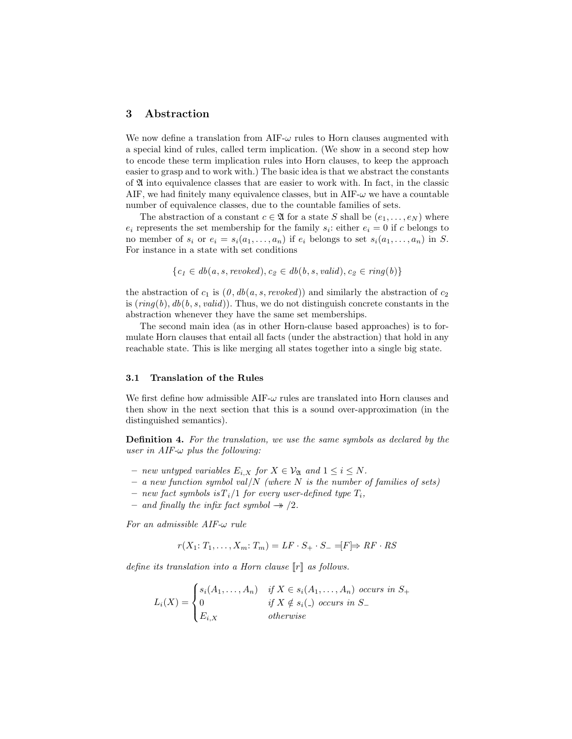# <span id="page-10-0"></span>3 Abstraction

We now define a translation from AIF- $\omega$  rules to Horn clauses augmented with a special kind of rules, called term implication. (We show in a second step how to encode these term implication rules into Horn clauses, to keep the approach easier to grasp and to work with.) The basic idea is that we abstract the constants of A into equivalence classes that are easier to work with. In fact, in the classic AIF, we had finitely many equivalence classes, but in  $\text{AIF-}\omega$  we have a countable number of equivalence classes, due to the countable families of sets.

The abstraction of a constant  $c \in \mathfrak{A}$  for a state S shall be  $(e_1, \ldots, e_N)$  where  $e_i$  represents the set membership for the family  $s_i$ : either  $e_i = 0$  if c belongs to no member of  $s_i$  or  $e_i = s_i(a_1, \ldots, a_n)$  if  $e_i$  belongs to set  $s_i(a_1, \ldots, a_n)$  in S. For instance in a state with set conditions

 ${c_1 \in db(a, s, revoked), c_2 \in db(b, s, valid), c_2 \in ring(b)}$ 

the abstraction of  $c_1$  is  $(0, db(a, s, revoked))$  and similarly the abstraction of  $c_2$ is  $(ring(b), db(b, s, valid))$ . Thus, we do not distinguish concrete constants in the abstraction whenever they have the same set memberships.

The second main idea (as in other Horn-clause based approaches) is to formulate Horn clauses that entail all facts (under the abstraction) that hold in any reachable state. This is like merging all states together into a single big state.

## 3.1 Translation of the Rules

<span id="page-10-1"></span>We first define how admissible  $\text{AIF-}\omega$  rules are translated into Horn clauses and then show in the next section that this is a sound over-approximation (in the distinguished semantics).

Definition 4. For the translation, we use the same symbols as declared by the user in  $\Lambda I$ F- $\omega$  plus the following:

- new untyped variables  $E_{i,X}$  for  $X \in V_{\mathfrak{A}}$  and  $1 \leq i \leq N$ .
- $-$  a new function symbol val/N (where N is the number of families of sets)
- new fact symbols is  $T_i/1$  for every user-defined type  $T_i$ ,
- and finally the infix fact symbol  $\rightarrow$  /2.

For an admissible  $AIF-\omega$  rule

$$
r(X_1: T_1, \dots, X_m: T_m) = LF \cdot S_+ \cdot S_- = [F] \Rightarrow RF \cdot RS
$$

define its translation into a Horn clause  $\llbracket r \rrbracket$  as follows.

$$
L_i(X) = \begin{cases} s_i(A_1, \dots, A_n) & \text{if } X \in s_i(A_1, \dots, A_n) \text{ occurs in } S_+ \\ 0 & \text{if } X \notin s_i(\text{)} \text{ occurs in } S_- \\ E_{i,X} & \text{otherwise} \end{cases}
$$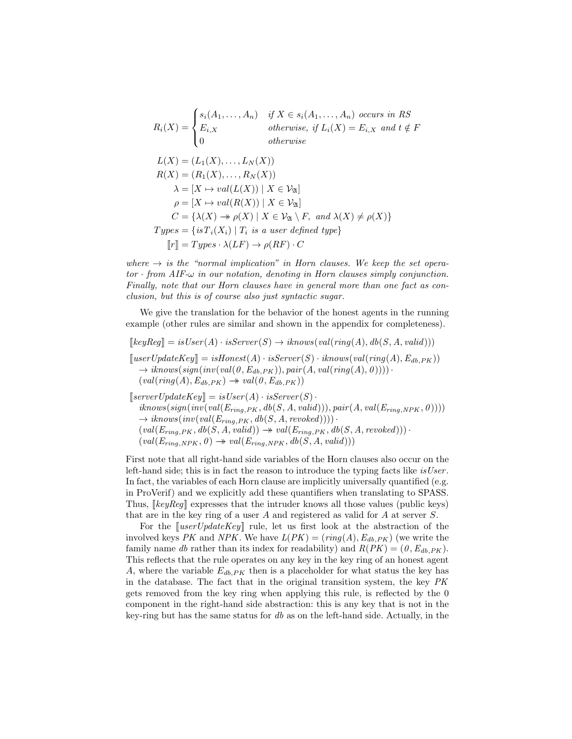$$
R_i(X) = \begin{cases} s_i(A_1, \dots, A_n) & \text{if } X \in s_i(A_1, \dots, A_n) \text{ occurs in RS} \\ E_{i,X} & \text{otherwise, if } L_i(X) = E_{i,X} \text{ and } t \notin F \\ 0 & \text{otherwise} \end{cases}
$$
\n
$$
L(X) = (L_1(X), \dots, L_N(X))
$$
\n
$$
R(X) = (R_1(X), \dots, R_N(X))
$$
\n
$$
\lambda = [X \mapsto val(L(X)) \mid X \in \mathcal{V}_X]
$$
\n
$$
\rho = [X \mapsto val(R(X)) \mid X \in \mathcal{V}_X]
$$
\n
$$
C = \{\lambda(X) \rightarrow \rho(X) \mid X \in \mathcal{V}_X \mid F, \text{ and } \lambda(X) \neq \rho(X)\}
$$
\n
$$
Types = \{isT_i(X_i) \mid T_i \text{ is a user defined type}\}
$$
\n
$$
[r] = Types \cdot \lambda(LF) \rightarrow \rho(RF) \cdot C
$$

where  $\rightarrow$  is the "normal implication" in Horn clauses. We keep the set opera $tor$  · from AIF- $\omega$  in our notation, denoting in Horn clauses simply conjunction. Finally, note that our Horn clauses have in general more than one fact as conclusion, but this is of course also just syntactic sugar.

We give the translation for the behavior of the honest agents in the running example (other rules are similar and shown in the appendix for completeness).

 $[\text{keyReg}] = \text{isUser}(A) \cdot \text{isServer}(S) \rightarrow \text{iknows}(\text{val}(\text{ring}(A), \text{db}(S, A, \text{valid})))$  $\llbracket userUpdateKey\rrbracket = isHonest(A) \cdot isServer(S) \cdot iknows(valueing(A), E_{db, PK}))$  $\rightarrow$  iknows(sign(inv(val(0,  $E_{db, PK}$ )), pair(A, val(ring(A), 0)))) $\cdot$  $\left( \text{val}(\text{ring}(A),E_{db,PK}) \rightarrow \text{val}(0,E_{db,PK}) \right)$  $[serverUpdateKey] = isUser(A) \cdot isServer(S) \cdot$  $iknows(sign(inv(val(E_{ring,PK}, db(S, A, valid))), pair(A, val(E_{ring,NPK}, 0))))$  $\rightarrow iknows(inv(val(E_{ring,PK}, db(S, A, revoked))))$ .  $\left( \text{val}(E_{ring,PK}, db(S, A, valid)) \rightarrow \text{val}(E_{ring,PK}, db(S, A, revoked)) \right)$  $\left( \textit{val}(E_{ring,NPK}, 0) \rightarrow \textit{val}(E_{ring,NPK}, db(S, A, valid)) \right)$ 

First note that all right-hand side variables of the Horn clauses also occur on the left-hand side; this is in fact the reason to introduce the typing facts like  $isUser$ . In fact, the variables of each Horn clause are implicitly universally quantified (e.g. in ProVerif) and we explicitly add these quantifiers when translating to SPASS. Thus,  $\llbracket keyReg \rrbracket$  expresses that the intruder knows all those values (public keys) that are in the key ring of a user A and registered as valid for A at server S.

For the  $\llbracket userUpdateKey\rrbracket$  rule, let us first look at the abstraction of the involved keys PK and NPK. We have  $L(PK) = (ring(A), E_{db, PK})$  (we write the family name db rather than its index for readability) and  $R(PK) = (0, E_{db, PK})$ . This reflects that the rule operates on any key in the key ring of an honest agent A, where the variable  $E_{db,PK}$  then is a placeholder for what status the key has in the database. The fact that in the original transition system, the key PK gets removed from the key ring when applying this rule, is reflected by the 0 component in the right-hand side abstraction: this is any key that is not in the key-ring but has the same status for  $db$  as on the left-hand side. Actually, in the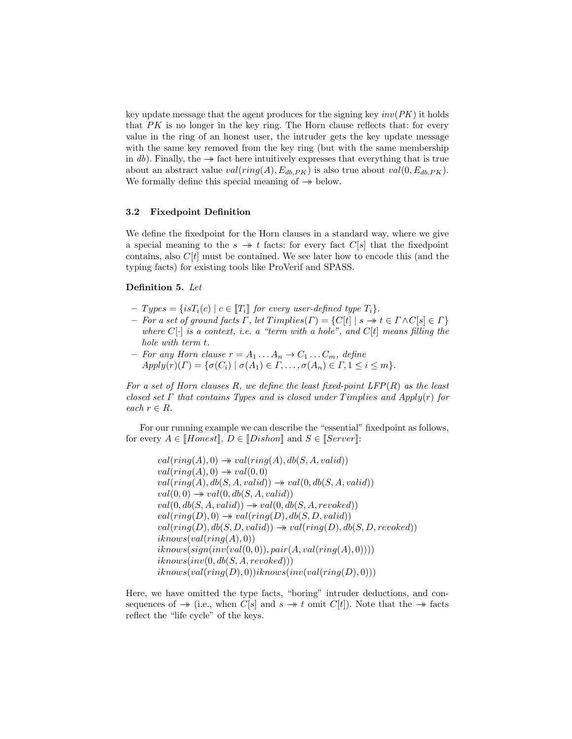key update message that the agent produces for the signing key  $inv(PK)$  it holds that  $PK$  is no longer in the key ring. The Horn clause reflects that: for every value in the ring of an honest user, the intruder gets the key update message with the same key removed from the key ring (but with the same membership in db). Finally, the  $\rightarrow$  fact here intuitively expresses that everything that is true about an abstract value  $val(ring(A), E_{db,PK})$  is also true about  $val(0, E_{db,PK})$ . We formally define this special meaning of  $\rightarrow$  below.

## 3.2 Fixedpoint Definition

We define the fixedpoint for the Horn clauses in a standard way, where we give a special meaning to the  $s \rightarrow t$  facts: for every fact C[s] that the fixedpoint contains, also  $C[t]$  must be contained. We see later how to encode this (and the typing facts) for existing tools like ProVerif and SPASS.

## Definition 5. Let

- <span id="page-12-0"></span> $- Types = \{isT_i(c) \mid c \in [T_i] \text{ for every user-defined type } T_i \}.$
- For a set of ground facts  $\Gamma$ , let  $T$  implies $(\Gamma) = \{C[t] \mid s \to t \in \Gamma \wedge C[s] \in \Gamma\}$ where  $C[\cdot]$  is a context, i.e. a "term with a hole", and  $C[t]$  means filling the hole with term t.
- For any Horn clause  $r = A_1 \dots A_n \rightarrow C_1 \dots C_m$ , define  $Apply(r)(\Gamma) = {\sigma(C_i) | \sigma(A_1) \in \Gamma, \ldots, \sigma(A_n) \in \Gamma, 1 \leq i \leq m}.$

For a set of Horn clauses R, we define the least fixed-point  $LFP(R)$  as the least closed set  $\Gamma$  that contains Types and is closed under Timplies and Apply(r) for each  $r \in R$ .

For our running example we can describe the "essential" fixedpoint as follows, for every  $A \in \llbracket Homest \rrbracket$ ,  $D \in \llbracket Dishon \rrbracket$  and  $S \in \llbracket Server \rrbracket$ :

```
val(ring(A), 0) \rightarrow val(ring(A), db(S, A, valid))val(ring(A), 0) \rightarrow val(0, 0)val(ring(A), db(S, A, valid)) \rightarrow val(0, db(S, A, valid))val(0, 0) \rightarrow val(0, db(S, A, valid))val(0, db(S, A, valid)) \rightarrow val(0, db(S, A, revoked))val(ring(D), 0) \rightarrow val(ring(D), db(S, D, valid))val(ring(D), db(S, D, valid)) \rightarrow val(ring(D), db(S, D, revoked))iknows(val(ring(A), 0))iknows(sign(inv(val(0,0)), pair(A, val(ring(A), 0))))iknows(inv(0, db(S, A, revoked)))iknows(val(ring(D), 0))iknows(inv(val(ring(D), 0)))
```
Here, we have omitted the type facts, "boring" intruder deductions, and consequences of  $\rightarrow$  (i.e., when C[s] and  $s \rightarrow t$  omit C[t]). Note that the  $\rightarrow$  facts reflect the "life cycle" of the keys.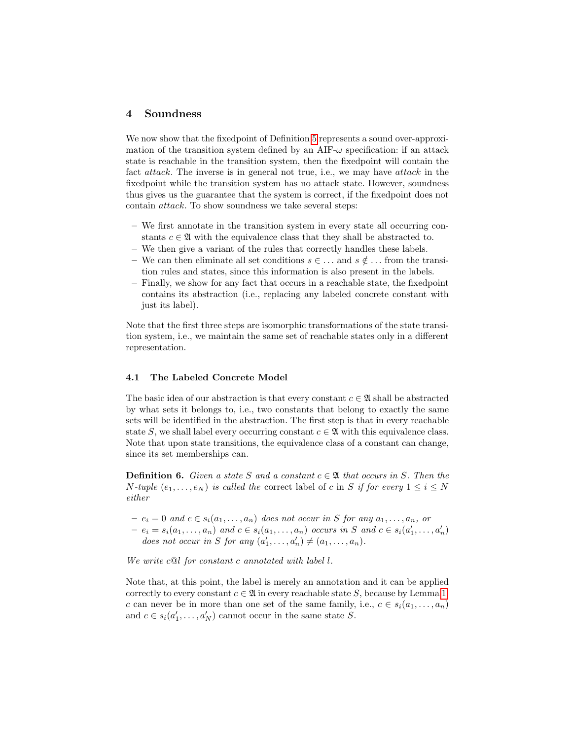## <span id="page-13-0"></span>4 Soundness

We now show that the fixedpoint of Definition [5](#page-12-0) represents a sound over-approximation of the transition system defined by an AIF- $\omega$  specification: if an attack state is reachable in the transition system, then the fixedpoint will contain the fact *attack*. The inverse is in general not true, i.e., we may have *attack* in the fixedpoint while the transition system has no attack state. However, soundness thus gives us the guarantee that the system is correct, if the fixedpoint does not contain attack. To show soundness we take several steps:

- We first annotate in the transition system in every state all occurring constants  $c \in \mathfrak{A}$  with the equivalence class that they shall be abstracted to.
- We then give a variant of the rules that correctly handles these labels.
- We can then eliminate all set conditions  $s \in \dots$  and  $s \notin \dots$  from the transition rules and states, since this information is also present in the labels.
- Finally, we show for any fact that occurs in a reachable state, the fixedpoint contains its abstraction (i.e., replacing any labeled concrete constant with just its label).

Note that the first three steps are isomorphic transformations of the state transition system, i.e., we maintain the same set of reachable states only in a different representation.

## 4.1 The Labeled Concrete Model

The basic idea of our abstraction is that every constant  $c \in \mathfrak{A}$  shall be abstracted by what sets it belongs to, i.e., two constants that belong to exactly the same sets will be identified in the abstraction. The first step is that in every reachable state S, we shall label every occurring constant  $c \in \mathfrak{A}$  with this equivalence class. Note that upon state transitions, the equivalence class of a constant can change, since its set memberships can.

**Definition 6.** Given a state S and a constant  $c \in \mathfrak{A}$  that occurs in S. Then the N-tuple  $(e_1, \ldots, e_N)$  is called the correct label of c in S if for every  $1 \leq i \leq N$ either

 $-e_i = 0$  and  $c \in s_i(a_1, \ldots, a_n)$  does not occur in S for any  $a_1, \ldots, a_n$ , or  $-e_i = s_i(a_1, \ldots, a_n)$  and  $c \in s_i(a_1, \ldots, a_n)$  occurs in S and  $c \in s_i(a'_1, \ldots, a'_n)$ does not occur in S for any  $(a'_1, \ldots, a'_n) \neq (a_1, \ldots, a_n)$ .

We write  $c@l$  for constant c annotated with label  $l$ .

Note that, at this point, the label is merely an annotation and it can be applied correctly to every constant  $c \in \mathfrak{A}$  in every reachable state S, because by Lemma [1,](#page-9-0) c can never be in more than one set of the same family, i.e.,  $c \in s_i(a_1, \ldots, a_n)$ and  $c \in s_i(a'_1, \ldots, a'_N)$  cannot occur in the same state S.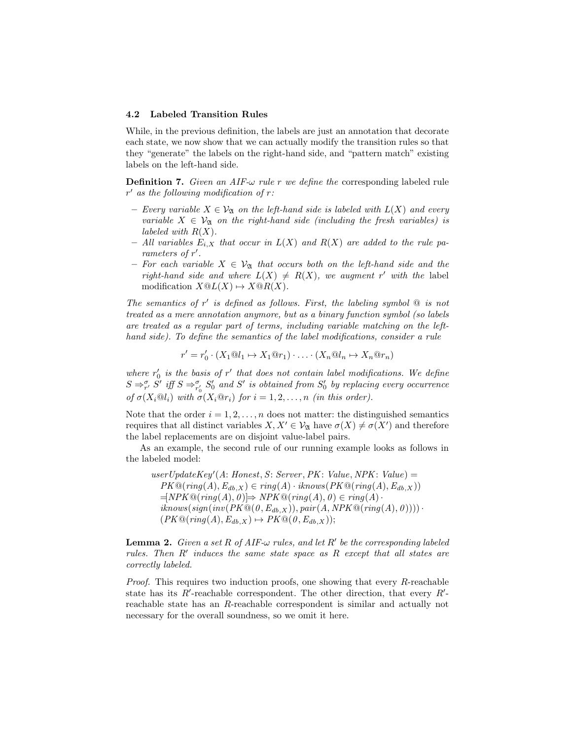#### 4.2 Labeled Transition Rules

While, in the previous definition, the labels are just an annotation that decorate each state, we now show that we can actually modify the transition rules so that they "generate" the labels on the right-hand side, and "pattern match" existing labels on the left-hand side.

<span id="page-14-1"></span>**Definition 7.** Given an AIF- $\omega$  rule r we define the corresponding labeled rule  $r'$  as the following modification of  $r$ :

- Every variable  $X \in V_{\mathfrak{A}}$  on the left-hand side is labeled with  $L(X)$  and every variable  $X \in V_{\mathfrak{A}}$  on the right-hand side (including the fresh variables) is labeled with  $R(X)$ .
- All variables  $E_{i,X}$  that occur in  $L(X)$  and  $R(X)$  are added to the rule parameters of  $r'$ .
- For each variable  $X \in V_{\mathfrak{A}}$  that occurs both on the left-hand side and the right-hand side and where  $L(X) \neq R(X)$ , we augment r' with the label modification  $X \mathbb{Q}L(X) \mapsto X \mathbb{Q}R(X)$ .

The semantics of  $r'$  is defined as follows. First, the labeling symbol  $@$  is not treated as a mere annotation anymore, but as a binary function symbol (so labels are treated as a regular part of terms, including variable matching on the lefthand side). To define the semantics of the label modifications, consider a rule

$$
r' = r'_0 \cdot (X_1 @ l_1 \mapsto X_1 @ r_1) \cdot \ldots \cdot (X_n @ l_n \mapsto X_n @ r_n)
$$

where  $r'_0$  is the basis of  $r'$  that does not contain label modifications. We define  $S \Rightarrow_{r'}^{\sigma} S'$  iff  $S \Rightarrow_{r'_0}^{\sigma} S'_0$  and  $S'$  is obtained from  $S'_0$  by replacing every occurrence of  $\sigma(X_i \otimes l_i)$  with  $\sigma(X_i \otimes r_i)$  for  $i = 1, 2, ..., n$  (in this order).

Note that the order  $i = 1, 2, ..., n$  does not matter: the distinguished semantics requires that all distinct variables  $X, X' \in V_{\mathfrak{A}}$  have  $\sigma(X) \neq \sigma(X')$  and therefore the label replacements are on disjoint value-label pairs.

As an example, the second rule of our running example looks as follows in the labeled model:

 $userUpdateKey'(A: Honest, S: Server, PK: Value, NPK: Value) =$  $PK@(ring(A), E_{db,X}) \in ring(A) \cdot iknows(PK@(ring(A), E_{db,X}))$  $=[NPK@(ring(A), 0)] \Rightarrow NPK@(ring(A), 0) \in ring(A)$  $iknows(sign(inv(PK@(0, E_{db,X}))$ , pair $(A, NPK@(ring(A), 0))))$ .  $(PK@(ring(A), E_{db,X}) \mapsto PK@(0, E_{db,X}));$ 

<span id="page-14-0"></span>**Lemma 2.** Given a set R of AIF- $\omega$  rules, and let R' be the corresponding labeled rules. Then  $R'$  induces the same state space as  $R$  except that all states are correctly labeled.

*Proof.* This requires two induction proofs, one showing that every  $R$ -reachable state has its  $R'$ -reachable correspondent. The other direction, that every  $R'$ reachable state has an R-reachable correspondent is similar and actually not necessary for the overall soundness, so we omit it here.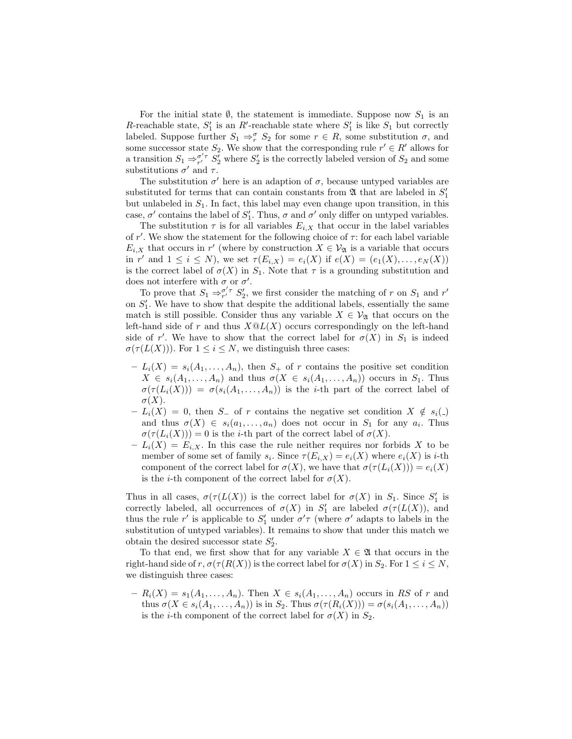For the initial state  $\emptyset$ , the statement is immediate. Suppose now  $S_1$  is an R-reachable state,  $S'_1$  is an R'-reachable state where  $S'_1$  is like  $S_1$  but correctly labeled. Suppose further  $S_1 \Rightarrow_{r}^{\sigma} S_2$  for some  $r \in R$ , some substitution  $\sigma$ , and some successor state  $S_2$ . We show that the corresponding rule  $r' \in R'$  allows for a transition  $S_1 \Rightarrow_{r'}^{\sigma' \tau} S_2^r$  where  $S_2^r$  is the correctly labeled version of  $S_2$  and some substitutions  $\sigma'$  and  $\tau$ .

The substitution  $\sigma'$  here is an adaption of  $\sigma$ , because untyped variables are substituted for terms that can contain constants from  $\mathfrak A$  that are labeled in  $S_1'$ but unlabeled in  $S_1$ . In fact, this label may even change upon transition, in this case,  $\sigma'$  contains the label of  $S_1'$ . Thus,  $\sigma$  and  $\sigma'$  only differ on untyped variables.

The substitution  $\tau$  is for all variables  $E_{i,X}$  that occur in the label variables of r'. We show the statement for the following choice of  $\tau$ : for each label variable  $E_{i,X}$  that occurs in r' (where by construction  $X \in V_{\mathfrak{A}}$  is a variable that occurs in r' and  $1 \leq i \leq N$ , we set  $\tau(E_{i,X}) = e_i(X)$  if  $e(X) = (e_1(X), \ldots, e_N(X))$ is the correct label of  $\sigma(X)$  in  $S_1$ . Note that  $\tau$  is a grounding substitution and does not interfere with  $\sigma$  or  $\sigma'$ .

To prove that  $S_1 \Rightarrow_{r'}^{\sigma'} S_2'$ , we first consider the matching of r on  $S_1$  and r' on  $S'_1$ . We have to show that despite the additional labels, essentially the same match is still possible. Consider thus any variable  $X \in V_{\mathfrak{A}}$  that occurs on the left-hand side of r and thus  $X@L(X)$  occurs correspondingly on the left-hand side of r'. We have to show that the correct label for  $\sigma(X)$  in  $S_1$  is indeed  $\sigma(\tau(L(X)))$ . For  $1 \leq i \leq N$ , we distinguish three cases:

- $-L_i(X) = s_i(A_1, \ldots, A_n)$ , then  $S_+$  of r contains the positive set condition  $X \in s_i(A_1, \ldots, A_n)$  and thus  $\sigma(X \in s_i(A_1, \ldots, A_n))$  occurs in  $S_1$ . Thus  $\sigma(\tau(L_i(X))) = \sigma(s_i(A_1, \ldots, A_n))$  is the *i*-th part of the correct label of  $\sigma(X).$
- $L_i(X) = 0$ , then S<sub>-</sub> of r contains the negative set condition  $X \notin s_i(.)$ and thus  $\sigma(X) \in s_i(a_1, \ldots, a_n)$  does not occur in  $S_1$  for any  $a_i$ . Thus  $\sigma(\tau(L_i(X))) = 0$  is the *i*-th part of the correct label of  $\sigma(X)$ .
- $-L_i(X) = E_{i,X}$ . In this case the rule neither requires nor forbids X to be member of some set of family  $s_i$ . Since  $\tau(E_{i,X}) = e_i(X)$  where  $e_i(X)$  is *i*-th component of the correct label for  $\sigma(X)$ , we have that  $\sigma(\tau(L_i(X))) = e_i(X)$ is the *i*-th component of the correct label for  $\sigma(X)$ .

Thus in all cases,  $\sigma(\tau(L(X))$  is the correct label for  $\sigma(X)$  in  $S_1$ . Since  $S'_1$  is correctly labeled, all occurrences of  $\sigma(X)$  in  $S'_1$  are labeled  $\sigma(\tau(L(X)))$ , and thus the rule  $r'$  is applicable to  $S'_1$  under  $\sigma' \tau$  (where  $\sigma'$  adapts to labels in the substitution of untyped variables). It remains to show that under this match we obtain the desired successor state  $S'_2$ .

To that end, we first show that for any variable  $X \in \mathfrak{A}$  that occurs in the right-hand side of r,  $\sigma(\tau(R(X))$  is the correct label for  $\sigma(X)$  in  $S_2$ . For  $1 \leq i \leq N$ , we distinguish three cases:

 $-R_i(X) = s_1(A_1,\ldots,A_n)$ . Then  $X \in s_i(A_1,\ldots,A_n)$  occurs in RS of r and thus  $\sigma(X \in s_i(A_1, \ldots, A_n))$  is in  $S_2$ . Thus  $\sigma(\tau(R_i(X))) = \sigma(s_i(A_1, \ldots, A_n))$ is the *i*-th component of the correct label for  $\sigma(X)$  in  $S_2$ .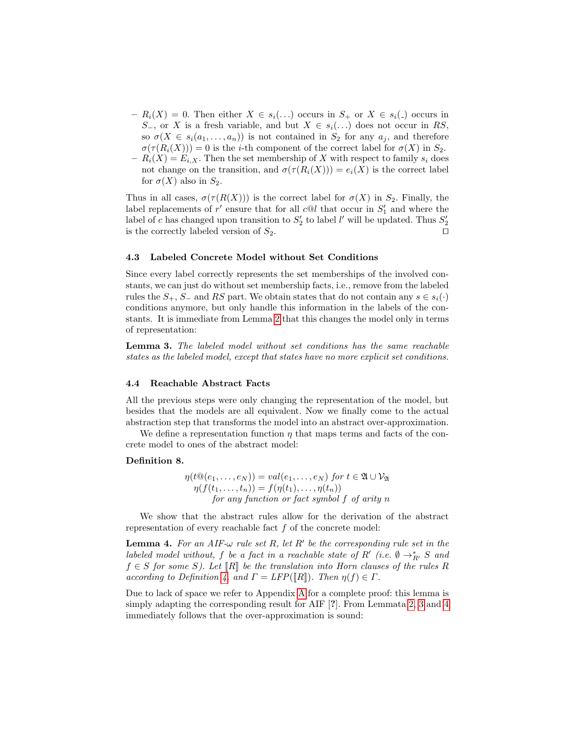- $-R_i(X) = 0$ . Then either  $X \in s_i(...)$  occurs in  $S_+$  or  $X \in s_i(.)$  occurs in S<sub>-</sub>, or X is a fresh variable, and but  $X \in s_i(\ldots)$  does not occur in RS, so  $\sigma(X \in s_i(a_1, \ldots, a_n))$  is not contained in  $S_2$  for any  $a_j$ , and therefore  $\sigma(\tau(R_i(X))) = 0$  is the *i*-th component of the correct label for  $\sigma(X)$  in  $S_2$ .
- $-R_i(X) = E_{i,X}$ . Then the set membership of X with respect to family  $s_i$  does not change on the transition, and  $\sigma(\tau(R_i(X))) = e_i(X)$  is the correct label for  $\sigma(X)$  also in  $S_2$ .

Thus in all cases,  $\sigma(\tau(R(X)))$  is the correct label for  $\sigma(X)$  in  $S_2$ . Finally, the label replacements of  $r'$  ensure that for all  $c@l$  that occur in  $S'_1$  and where the label of c has changed upon transition to  $S'_2$  to label l' will be updated. Thus  $S'_2$ is the correctly labeled version of  $S_2$ .

#### 4.3 Labeled Concrete Model without Set Conditions

Since every label correctly represents the set memberships of the involved constants, we can just do without set membership facts, i.e., remove from the labeled rules the  $S_+$ ,  $S_-$  and RS part. We obtain states that do not contain any  $s \in s_i(\cdot)$ conditions anymore, but only handle this information in the labels of the constants. It is immediate from Lemma [2](#page-14-0) that this changes the model only in terms of representation:

<span id="page-16-0"></span>Lemma 3. The labeled model without set conditions has the same reachable states as the labeled model, except that states have no more explicit set conditions.

## 4.4 Reachable Abstract Facts

All the previous steps were only changing the representation of the model, but besides that the models are all equivalent. Now we finally come to the actual abstraction step that transforms the model into an abstract over-approximation.

We define a representation function  $\eta$  that maps terms and facts of the concrete model to ones of the abstract model:

## Definition 8.

<span id="page-16-1"></span>
$$
\eta(t@(e_1,\ldots,e_N)) = val(e_1,\ldots,e_N) \text{ for } t \in \mathfrak{A} \cup \mathcal{V}_{\mathfrak{A}}
$$
  
\n
$$
\eta(f(t_1,\ldots,t_n)) = f(\eta(t_1),\ldots,\eta(t_n))
$$
  
\nfor any function or fact symbol f of arity n

We show that the abstract rules allow for the derivation of the abstract representation of every reachable fact  $f$  of the concrete model:

**Lemma 4.** For an AIF- $\omega$  rule set R, let R' be the corresponding rule set in the labeled model without, f be a fact in a reachable state of  $R'$  (i.e.  $\emptyset \rightarrow_{R'}^* S$  and  $f \in S$  for some S). Let  $\llbracket R \rrbracket$  be the translation into Horn clauses of the rules R according to Definition [4,](#page-10-1) and  $\Gamma = LFP(\Vert R \Vert)$ . Then  $\eta(f) \in \Gamma$ .

Due to lack of space we refer to Appendix [A](#page-21-0) for a complete proof: this lemma is simply adapting the corresponding result for AIF [?]. From Lemmata [2,](#page-14-0) [3](#page-16-0) and [4](#page-16-1) immediately follows that the over-approximation is sound: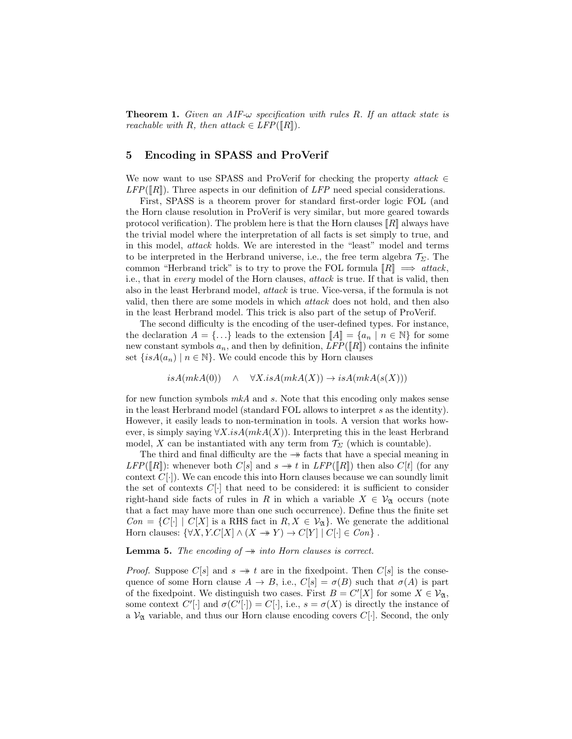**Theorem 1.** Given an AIF- $\omega$  specification with rules R. If an attack state is reachable with R, then attack  $\in LFP(\llbracket R \rrbracket)$ .

## <span id="page-17-0"></span>5 Encoding in SPASS and ProVerif

We now want to use SPASS and ProVerif for checking the property attack  $\in$  $LFP(\Vert R \Vert)$ . Three aspects in our definition of  $LFP$  need special considerations.

First, SPASS is a theorem prover for standard first-order logic FOL (and the Horn clause resolution in ProVerif is very similar, but more geared towards protocol verification). The problem here is that the Horn clauses  $||R||$  always have the trivial model where the interpretation of all facts is set simply to true, and in this model, attack holds. We are interested in the "least" model and terms to be interpreted in the Herbrand universe, i.e., the free term algebra  $\mathcal{T}_{\Sigma}$ . The common "Herbrand trick" is to try to prove the FOL formula  $\llbracket R \rrbracket \implies \text{attack},$ i.e., that in every model of the Horn clauses, attack is true. If that is valid, then also in the least Herbrand model, attack is true. Vice-versa, if the formula is not valid, then there are some models in which attack does not hold, and then also in the least Herbrand model. This trick is also part of the setup of ProVerif.

The second difficulty is the encoding of the user-defined types. For instance, the declaration  $A = \{...\}$  leads to the extension  $\llbracket A \rrbracket = \{a_n \mid n \in \mathbb{N}\}$  for some new constant symbols  $a_n$ , and then by definition,  $LFP(\llbracket R \rrbracket)$  contains the infinite set  $\{isA(a_n) \mid n \in \mathbb{N}\}\.$  We could encode this by Horn clauses

$$
isA(mkA(0)) \quad \land \quad \forall X.isA(mkA(X)) \rightarrow isA(mkA(s(X)))
$$

for new function symbols  $mkA$  and s. Note that this encoding only makes sense in the least Herbrand model (standard FOL allows to interpret s as the identity). However, it easily leads to non-termination in tools. A version that works however, is simply saying  $\forall X.isA(mkA(X))$ . Interpreting this in the least Herbrand model, X can be instantiated with any term from  $\mathcal{T}_{\Sigma}$  (which is countable).

The third and final difficulty are the  $\rightarrow$  facts that have a special meaning in  $LFP([R])$ : whenever both  $C[s]$  and  $s \to t$  in  $LFP([R])$  then also  $C[t]$  (for any context  $C[\cdot]$ . We can encode this into Horn clauses because we can soundly limit the set of contexts  $C[\cdot]$  that need to be considered: it is sufficient to consider right-hand side facts of rules in R in which a variable  $X \in V_{\mathfrak{A}}$  occurs (note that a fact may have more than one such occurrence). Define thus the finite set  $Con = \{C[\cdot] \mid C[X] \text{ is a RHS fact in } R, X \in V_{\mathfrak{A}}\}.$  We generate the additional Horn clauses:  $\{\forall X, Y.C[X] \land (X \rightarrow Y) \rightarrow C[Y] \mid C[\cdot] \in Con\}$ .

## **Lemma 5.** The encoding of  $\rightarrow$  into Horn clauses is correct.

*Proof.* Suppose  $C[s]$  and  $s \rightarrow t$  are in the fixedpoint. Then  $C[s]$  is the consequence of some Horn clause  $A \to B$ , i.e.,  $C[s] = \sigma(B)$  such that  $\sigma(A)$  is part of the fixedpoint. We distinguish two cases. First  $B = C'[X]$  for some  $X \in V_{\mathfrak{A}}$ , some context  $C'[\cdot]$  and  $\sigma(C'[\cdot]) = C[\cdot]$ , i.e.,  $s = \sigma(X)$  is directly the instance of a  $V_{\mathfrak{A}}$  variable, and thus our Horn clause encoding covers  $C[\cdot]$ . Second, the only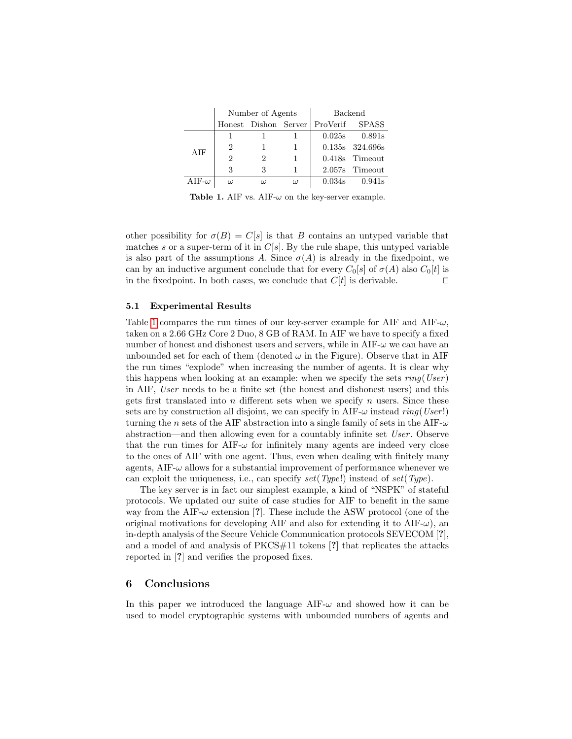|              | Number of Agents |               |          | <b>Backend</b>                      |                   |
|--------------|------------------|---------------|----------|-------------------------------------|-------------------|
|              |                  |               |          | Honest Dishon Server ProVerif SPASS |                   |
| AIF          |                  |               |          |                                     | $0.025s$ $0.891s$ |
|              | $\overline{2}$   |               |          |                                     | 0.135s 324.696s   |
|              | $\mathcal{D}$    | $\mathcal{D}$ |          |                                     | 0.418s Timeout    |
|              | 3                | 3             |          |                                     | 2.057s Timeout    |
| $AIF-\omega$ | ω                | $\omega$      | $\omega$ | 0.034s                              | 0.941s            |

<span id="page-18-1"></span>Table 1. AIF vs. AIF- $\omega$  on the key-server example.

other possibility for  $\sigma(B) = C[s]$  is that B contains an untyped variable that matches s or a super-term of it in  $C[s]$ . By the rule shape, this untyped variable is also part of the assumptions A. Since  $\sigma(A)$  is already in the fixedpoint, we can by an inductive argument conclude that for every  $C_0[s]$  of  $\sigma(A)$  also  $C_0[t]$  is in the fixedpoint. In both cases, we conclude that  $C[t]$  is derivable.

## 5.1 Experimental Results

Table [1](#page-18-1) compares the run times of our key-server example for AIF and AIF- $\omega$ , taken on a 2.66 GHz Core 2 Duo, 8 GB of RAM. In AIF we have to specify a fixed number of honest and dishonest users and servers, while in  $\text{AIF-}\omega$  we can have an unbounded set for each of them (denoted  $\omega$  in the Figure). Observe that in AIF the run times "explode" when increasing the number of agents. It is clear why this happens when looking at an example: when we specify the sets  $ring(User)$ in AIF, User needs to be a finite set (the honest and dishonest users) and this gets first translated into  $n$  different sets when we specify  $n$  users. Since these sets are by construction all disjoint, we can specify in AIF- $\omega$  instead ring(User!) turning the n sets of the AIF abstraction into a single family of sets in the  $\text{AIF-}\omega$ abstraction—and then allowing even for a countably infinite set User. Observe that the run times for AIF- $\omega$  for infinitely many agents are indeed very close to the ones of AIF with one agent. Thus, even when dealing with finitely many agents,  $\text{AIF-}\omega$  allows for a substantial improvement of performance whenever we can exploit the uniqueness, i.e., can specify  $set(Type!)$  instead of  $set(Type)$ .

The key server is in fact our simplest example, a kind of "NSPK" of stateful protocols. We updated our suite of case studies for AIF to benefit in the same way from the AIF- $\omega$  extension [?]. These include the ASW protocol (one of the original motivations for developing AIF and also for extending it to  $\text{AIF-}\omega$ , an in-depth analysis of the Secure Vehicle Communication protocols SEVECOM [?], and a model of and analysis of PKCS#11 tokens [?] that replicates the attacks reported in [?] and verifies the proposed fixes.

## <span id="page-18-0"></span>6 Conclusions

In this paper we introduced the language  $\text{AIF-}\omega$  and showed how it can be used to model cryptographic systems with unbounded numbers of agents and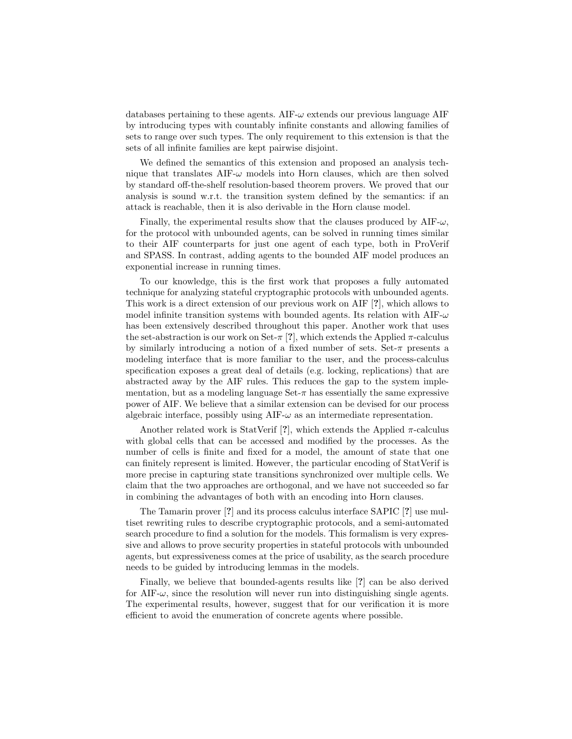databases pertaining to these agents. AIF- $\omega$  extends our previous language AIF by introducing types with countably infinite constants and allowing families of sets to range over such types. The only requirement to this extension is that the sets of all infinite families are kept pairwise disjoint.

We defined the semantics of this extension and proposed an analysis technique that translates  $\text{AIF-}\omega$  models into Horn clauses, which are then solved by standard off-the-shelf resolution-based theorem provers. We proved that our analysis is sound w.r.t. the transition system defined by the semantics: if an attack is reachable, then it is also derivable in the Horn clause model.

Finally, the experimental results show that the clauses produced by  $\text{AIF-}\omega$ . for the protocol with unbounded agents, can be solved in running times similar to their AIF counterparts for just one agent of each type, both in ProVerif and SPASS. In contrast, adding agents to the bounded AIF model produces an exponential increase in running times.

To our knowledge, this is the first work that proposes a fully automated technique for analyzing stateful cryptographic protocols with unbounded agents. This work is a direct extension of our previous work on AIF [?], which allows to model infinite transition systems with bounded agents. Its relation with  $\text{AIF-}\omega$ has been extensively described throughout this paper. Another work that uses the set-abstraction is our work on Set- $\pi$  [?], which extends the Applied  $\pi$ -calculus by similarly introducing a notion of a fixed number of sets. Set- $\pi$  presents a modeling interface that is more familiar to the user, and the process-calculus specification exposes a great deal of details (e.g. locking, replications) that are abstracted away by the AIF rules. This reduces the gap to the system implementation, but as a modeling language  $Set-\pi$  has essentially the same expressive power of AIF. We believe that a similar extension can be devised for our process algebraic interface, possibly using  $\text{AIF-}\omega$  as an intermediate representation.

Another related work is StatVerif [?], which extends the Applied  $\pi$ -calculus with global cells that can be accessed and modified by the processes. As the number of cells is finite and fixed for a model, the amount of state that one can finitely represent is limited. However, the particular encoding of StatVerif is more precise in capturing state transitions synchronized over multiple cells. We claim that the two approaches are orthogonal, and we have not succeeded so far in combining the advantages of both with an encoding into Horn clauses.

The Tamarin prover [?] and its process calculus interface SAPIC [?] use multiset rewriting rules to describe cryptographic protocols, and a semi-automated search procedure to find a solution for the models. This formalism is very expressive and allows to prove security properties in stateful protocols with unbounded agents, but expressiveness comes at the price of usability, as the search procedure needs to be guided by introducing lemmas in the models.

Finally, we believe that bounded-agents results like [?] can be also derived for AIF- $\omega$ , since the resolution will never run into distinguishing single agents. The experimental results, however, suggest that for our verification it is more efficient to avoid the enumeration of concrete agents where possible.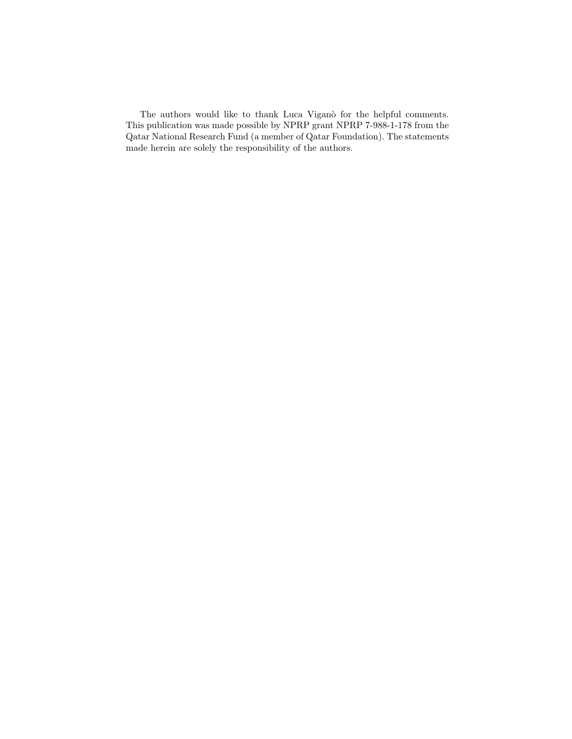The authors would like to thank Luca Viganò for the helpful comments. This publication was made possible by NPRP grant NPRP 7-988-1-178 from the Qatar National Research Fund (a member of Qatar Foundation). The statements made herein are solely the responsibility of the authors.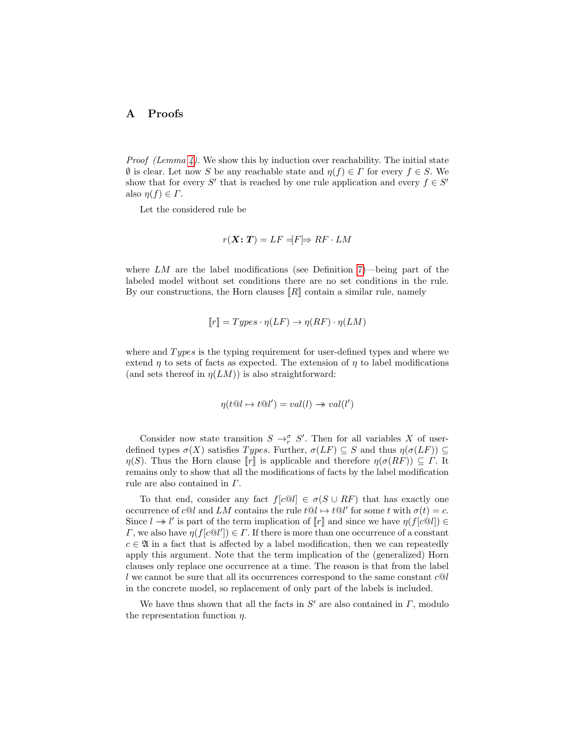## <span id="page-21-0"></span>A Proofs

*Proof (Lemma [4\)](#page-16-1).* We show this by induction over reachability. The initial state  $\emptyset$  is clear. Let now S be any reachable state and  $\eta(f) \in \Gamma$  for every  $f \in S$ . We show that for every S' that is reached by one rule application and every  $f \in S'$ also  $\eta(f) \in \Gamma$ .

Let the considered rule be

$$
r(\mathbf{X} : \mathbf{T}) = LF = |F| \Rightarrow RF \cdot LM
$$

where  $LM$  are the label modifications (see Definition [7\)](#page-14-1)—being part of the labeled model without set conditions there are no set conditions in the rule. By our constructions, the Horn clauses  $\llbracket R \rrbracket$  contain a similar rule, namely

$$
[[r]] = Types \cdot \eta(LF) \rightarrow \eta(RF) \cdot \eta(LM)
$$

where and  $Types$  is the typing requirement for user-defined types and where we extend  $\eta$  to sets of facts as expected. The extension of  $\eta$  to label modifications (and sets thereof in  $\eta(LM)$ ) is also straightforward:

$$
\eta(t@l \mapsto t@l') = val(l) \rightarrow val(l')
$$

Consider now state transition  $S \to_{r}^{\sigma} S'$ . Then for all variables X of userdefined types  $\sigma(X)$  satisfies Types. Further,  $\sigma(LF) \subseteq S$  and thus  $\eta(\sigma(LF)) \subseteq$  $\eta(S)$ . Thus the Horn clause [r] is applicable and therefore  $\eta(\sigma(RF)) \subseteq \Gamma$ . It remains only to show that all the modifications of facts by the label modification rule are also contained in Γ.

To that end, consider any fact  $f[c@l] \in \sigma(S \cup RF)$  that has exactly one occurrence of c@l and LM contains the rule  $t@l \mapsto t@l'$  for some t with  $\sigma(t) = c$ . Since  $l \to l'$  is part of the term implication of  $\llbracket r \rrbracket$  and since we have  $\eta(f[c@l]) \in$  $\Gamma$ , we also have  $\eta(f[c@l']) \in \Gamma$ . If there is more than one occurrence of a constant  $c \in \mathfrak{A}$  in a fact that is affected by a label modification, then we can repeatedly apply this argument. Note that the term implication of the (generalized) Horn clauses only replace one occurrence at a time. The reason is that from the label l we cannot be sure that all its occurrences correspond to the same constant  $c@l$ in the concrete model, so replacement of only part of the labels is included.

We have thus shown that all the facts in  $S'$  are also contained in  $\Gamma$ , modulo the representation function  $\eta$ .